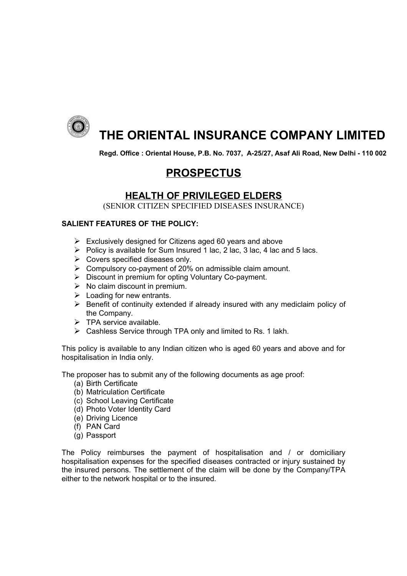

# **THE ORIENTAL INSURANCE COMPANY LIMITED**

**Regd. Office : Oriental House, P.B. No. 7037, A-25/27, Asaf Ali Road, New Delhi - 110 002**

# **PROSPECTUS**

## **HEALTH OF PRIVILEGED ELDERS**

(SENIOR CITIZEN SPECIFIED DISEASES INSURANCE)

### **SALIENT FEATURES OF THE POLICY:**

- $\triangleright$  Exclusively designed for Citizens aged 60 years and above
- $\triangleright$  Policy is available for Sum Insured 1 lac, 2 lac, 3 lac, 4 lac and 5 lacs.
- $\triangleright$  Covers specified diseases only.
- $\triangleright$  Compulsory co-payment of 20% on admissible claim amount.
- $\triangleright$  Discount in premium for opting Voluntary Co-payment.
- $\triangleright$  No claim discount in premium.
- $\triangleright$  Loading for new entrants.
- $\triangleright$  Benefit of continuity extended if already insured with any mediclaim policy of the Company.
- $\triangleright$  TPA service available.
- ▶ Cashless Service through TPA only and limited to Rs. 1 lakh.

This policy is available to any Indian citizen who is aged 60 years and above and for hospitalisation in India only.

The proposer has to submit any of the following documents as age proof:

- (a) Birth Certificate
- (b) Matriculation Certificate
- (c) School Leaving Certificate
- (d) Photo Voter Identity Card
- (e) Driving Licence
- (f) PAN Card
- (g) Passport

The Policy reimburses the payment of hospitalisation and / or domiciliary hospitalisation expenses for the specified diseases contracted or injury sustained by the insured persons. The settlement of the claim will be done by the Company/TPA either to the network hospital or to the insured.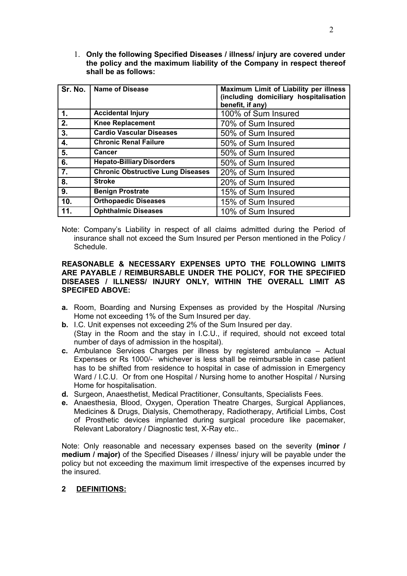1. **Only the following Specified Diseases / illness/ injury are covered under the policy and the maximum liability of the Company in respect thereof shall be as follows:**

|     | Sr. No.   Name of Disease                | Maximum Limit of Liability per illness<br>(including domiciliary hospitalisation<br>benefit, if any) |
|-----|------------------------------------------|------------------------------------------------------------------------------------------------------|
| 1.  | <b>Accidental Injury</b>                 | 100% of Sum Insured                                                                                  |
| 2.  | <b>Knee Replacement</b>                  | 70% of Sum Insured                                                                                   |
| 3.  | <b>Cardio Vascular Diseases</b>          | 50% of Sum Insured                                                                                   |
| 4.  | <b>Chronic Renal Failure</b>             | 50% of Sum Insured                                                                                   |
| 5.  | Cancer                                   | 50% of Sum Insured                                                                                   |
| 6.  | <b>Hepato-Billiary Disorders</b>         | 50% of Sum Insured                                                                                   |
| 7.  | <b>Chronic Obstructive Lung Diseases</b> | 20% of Sum Insured                                                                                   |
| 8.  | <b>Stroke</b>                            | 20% of Sum Insured                                                                                   |
| 9.  | <b>Benign Prostrate</b>                  | 15% of Sum Insured                                                                                   |
| 10. | <b>Orthopaedic Diseases</b>              | 15% of Sum Insured                                                                                   |
| 11. | <b>Ophthalmic Diseases</b>               | 10% of Sum Insured                                                                                   |

Note: Company's Liability in respect of all claims admitted during the Period of insurance shall not exceed the Sum Insured per Person mentioned in the Policy / Schedule.

#### **REASONABLE & NECESSARY EXPENSES UPTO THE FOLLOWING LIMITS ARE PAYABLE / REIMBURSABLE UNDER THE POLICY, FOR THE SPECIFIED DISEASES / ILLNESS/ INJURY ONLY, WITHIN THE OVERALL LIMIT AS SPECIFED ABOVE:**

- **a.** Room, Boarding and Nursing Expenses as provided by the Hospital /Nursing Home not exceeding 1% of the Sum Insured per day.
- **b.** I.C. Unit expenses not exceeding 2% of the Sum Insured per day. (Stay in the Room and the stay in I.C.U., if required, should not exceed total number of days of admission in the hospital).
- **c.** Ambulance Services Charges per illness by registered ambulance Actual Expenses or Rs 1000/- whichever is less shall be reimbursable in case patient has to be shifted from residence to hospital in case of admission in Emergency Ward / I.C.U. Or from one Hospital / Nursing home to another Hospital / Nursing Home for hospitalisation.
- **d.** Surgeon, Anaesthetist, Medical Practitioner, Consultants, Specialists Fees.
- **e.** Anaesthesia, Blood, Oxygen, Operation Theatre Charges, Surgical Appliances, Medicines & Drugs, Dialysis, Chemotherapy, Radiotherapy, Artificial Limbs, Cost of Prosthetic devices implanted during surgical procedure like pacemaker, Relevant Laboratory / Diagnostic test, X-Ray etc..

Note: Only reasonable and necessary expenses based on the severity **(minor / medium / major)** of the Specified Diseases / illness/ injury will be payable under the policy but not exceeding the maximum limit irrespective of the expenses incurred by the insured.

#### **2 DEFINITIONS:**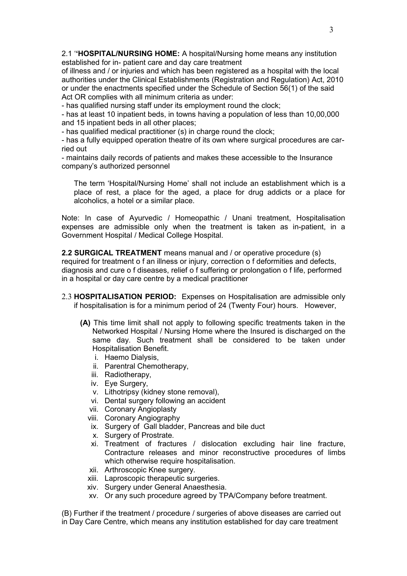2.1 '**'HOSPITAL/NURSING HOME:** A hospital/Nursing home means any institution established for in- patient care and day care treatment

of illness and / or injuries and which has been registered as a hospital with the local authorities under the Clinical Establishments (Registration and Regulation) Act, 2010 or under the enactments specified under the Schedule of Section 56(1) of the said Act OR complies with all minimum criteria as under:

- has qualified nursing staff under its employment round the clock;

- has at least 10 inpatient beds, in towns having a population of less than 10,00,000 and 15 inpatient beds in all other places;

- has qualified medical practitioner (s) in charge round the clock;

- has a fully equipped operation theatre of its own where surgical procedures are carried out

- maintains daily records of patients and makes these accessible to the Insurance company's authorized personnel

The term 'Hospital/Nursing Home' shall not include an establishment which is a place of rest, a place for the aged, a place for drug addicts or a place for alcoholics, a hotel or a similar place.

Note: In case of Ayurvedic / Homeopathic / Unani treatment, Hospitalisation expenses are admissible only when the treatment is taken as in-patient, in a Government Hospital / Medical College Hospital.

**2.2 SURGICAL TREATMENT** means manual and / or operative procedure (s) required for treatment o f an illness or injury, correction o f deformities and defects, diagnosis and cure o f diseases, relief o f suffering or prolongation o f life, performed in a hospital or day care centre by a medical practitioner

- 2.3 **HOSPITALISATION PERIOD:** Expenses on Hospitalisation are admissible only if hospitalisation is for a minimum period of 24 (Twenty Four) hours. However,
	- **(A)** This time limit shall not apply to following specific treatments taken in the Networked Hospital / Nursing Home where the Insured is discharged on the same day. Such treatment shall be considered to be taken under Hospitalisation Benefit.
		- i. Haemo Dialysis,
		- ii. Parentral Chemotherapy,
		- iii. Radiotherapy,
		- iv. Eye Surgery,
		- v. Lithotripsy (kidney stone removal),
		- vi. Dental surgery following an accident
		- vii. Coronary Angioplasty
		- viii. Coronary Angiography
		- ix. Surgery of Gall bladder, Pancreas and bile duct
		- x. Surgery of Prostrate.
		- xi. Treatment of fractures / dislocation excluding hair line fracture, Contracture releases and minor reconstructive procedures of limbs which otherwise require hospitalisation.
		- xii. Arthroscopic Knee surgery.
		- xiii. Laproscopic therapeutic surgeries.
		- xiv. Surgery under General Anaesthesia.
		- xv. Or any such procedure agreed by TPA/Company before treatment.

(B) Further if the treatment / procedure / surgeries of above diseases are carried out in Day Care Centre, which means any institution established for day care treatment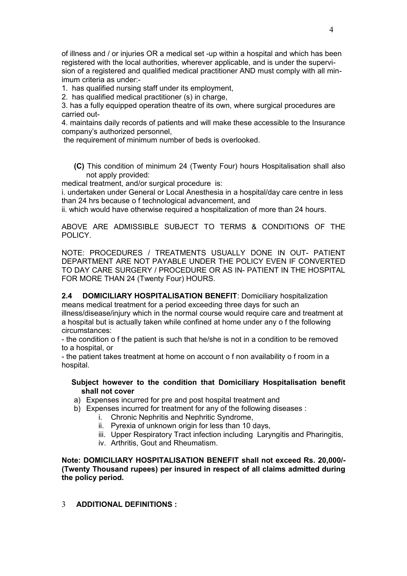of illness and / or injuries OR a medical set -up within a hospital and which has been registered with the local authorities, wherever applicable, and is under the supervision of a registered and qualified medical practitioner AND must comply with all minimum criteria as under:-

1. has qualified nursing staff under its employment,

2. has qualified medical practitioner (s) in charge,

3. has a fully equipped operation theatre of its own, where surgical procedures are carried out-

4. maintains daily records of patients and will make these accessible to the Insurance company's authorized personnel,

the requirement of minimum number of beds is overlooked.

**(C)** This condition of minimum 24 (Twenty Four) hours Hospitalisation shall also not apply provided:

medical treatment, and/or surgical procedure is:

i. undertaken under General or Local Anesthesia in a hospital/day care centre in less than 24 hrs because o f technological advancement, and

ii. which would have otherwise required a hospitalization of more than 24 hours.

ABOVE ARE ADMISSIBLE SUBJECT TO TERMS & CONDITIONS OF THE POLICY.

NOTE: PROCEDURES / TREATMENTS USUALLY DONE IN OUT- PATIENT DEPARTMENT ARE NOT PAYABLE UNDER THE POLICY EVEN IF CONVERTED TO DAY CARE SURGERY / PROCEDURE OR AS IN- PATIENT IN THE HOSPITAL FOR MORE THAN 24 (Twenty Four) HOURS.

**2.4 DOMICILIARY HOSPITALISATION BENEFIT**: Domiciliary hospitalization means medical treatment for a period exceeding three days for such an illness/disease/injury which in the normal course would require care and treatment at a hospital but is actually taken while confined at home under any o f the following circumstances:

- the condition o f the patient is such that he/she is not in a condition to be removed to a hospital, or

- the patient takes treatment at home on account o f non availability o f room in a hospital.

#### **Subject however to the condition that Domiciliary Hospitalisation benefit shall not cover**

- a) Expenses incurred for pre and post hospital treatment and
- b) Expenses incurred for treatment for any of the following diseases :
	- i. Chronic Nephritis and Nephritic Syndrome,
	- ii. Pyrexia of unknown origin for less than 10 days,
	- iii. Upper Respiratory Tract infection including Laryngitis and Pharingitis,
	- iv. Arthritis, Gout and Rheumatism.

**Note: DOMICILIARY HOSPITALISATION BENEFIT shall not exceed Rs. 20,000/- (Twenty Thousand rupees) per insured in respect of all claims admitted during the policy period.** 

3 **ADDITIONAL DEFINITIONS :**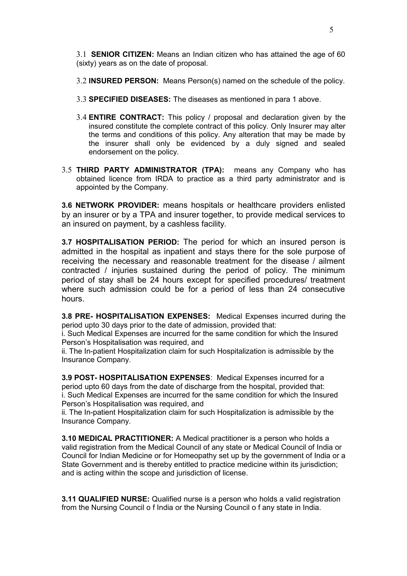3.1 **SENIOR CITIZEN:** Means an Indian citizen who has attained the age of 60 (sixty) years as on the date of proposal.

3.2 **INSURED PERSON:** Means Person(s) named on the schedule of the policy.

- 3.3 **SPECIFIED DISEASES:** The diseases as mentioned in para 1 above.
- 3.4 **ENTIRE CONTRACT:** This policy / proposal and declaration given by the insured constitute the complete contract of this policy. Only Insurer may alter the terms and conditions of this policy. Any alteration that may be made by the insurer shall only be evidenced by a duly signed and sealed endorsement on the policy.
- 3.5 **THIRD PARTY ADMINISTRATOR (TPA):** means any Company who has obtained licence from IRDA to practice as a third party administrator and is appointed by the Company.

**3.6 NETWORK PROVIDER:** means hospitals or healthcare providers enlisted by an insurer or by a TPA and insurer together, to provide medical services to an insured on payment, by a cashless facility.

**3.7 HOSPITALISATION PERIOD:** The period for which an insured person is admitted in the hospital as inpatient and stays there for the sole purpose of receiving the necessary and reasonable treatment for the disease / ailment contracted / injuries sustained during the period of policy. The minimum period of stay shall be 24 hours except for specified procedures/ treatment where such admission could be for a period of less than 24 consecutive hours.

**3.8 PRE- HOSPITALISATION EXPENSES:** Medical Expenses incurred during the period upto 30 days prior to the date of admission, provided that:

i. Such Medical Expenses are incurred for the same condition for which the Insured Person's Hospitalisation was required, and

ii. The In-patient Hospitalization claim for such Hospitalization is admissible by the Insurance Company.

**3.9 POST- HOSPITALISATION EXPENSES**: Medical Expenses incurred for a period upto 60 days from the date of discharge from the hospital, provided that: i. Such Medical Expenses are incurred for the same condition for which the Insured Person's Hospitalisation was required, and

ii. The In-patient Hospitalization claim for such Hospitalization is admissible by the Insurance Company.

**3.10 MEDICAL PRACTITIONER:** A Medical practitioner is a person who holds a valid registration from the Medical Council of any state or Medical Council of India or Council for Indian Medicine or for Homeopathy set up by the government of India or a State Government and is thereby entitled to practice medicine within its jurisdiction; and is acting within the scope and jurisdiction of license.

**3.11 QUALIFIED NURSE:** Qualified nurse is a person who holds a valid registration from the Nursing Council o f India or the Nursing Council o f any state in India.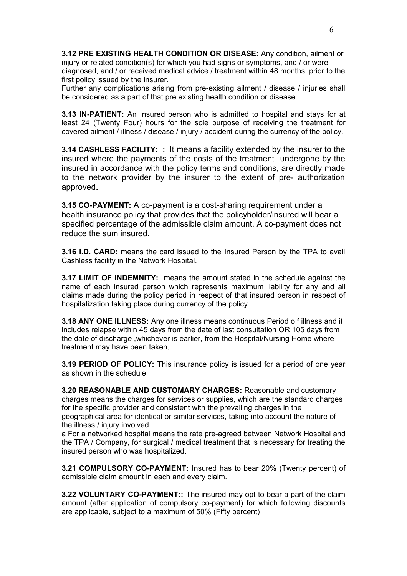**3.12 PRE EXISTING HEALTH CONDITION OR DISEASE:** Any condition, ailment or injury or related condition(s) for which you had signs or symptoms, and / or were diagnosed, and / or received medical advice / treatment within 48 months prior to the first policy issued by the insurer.

Further any complications arising from pre-existing ailment / disease / injuries shall be considered as a part of that pre existing health condition or disease.

**3.13 IN-PATIENT:** An Insured person who is admitted to hospital and stays for at least 24 (Twenty Four) hours for the sole purpose of receiving the treatment for covered ailment / illness / disease / injury / accident during the currency of the policy.

**3.14 CASHLESS FACILITY: :** It means a facility extended by the insurer to the insured where the payments of the costs of the treatment undergone by the insured in accordance with the policy terms and conditions, are directly made to the network provider by the insurer to the extent of pre- authorization approved**.**

**3.15 CO-PAYMENT:** A co-payment is a cost-sharing requirement under a health insurance policy that provides that the policyholder/insured will bear a specified percentage of the admissible claim amount. A co-payment does not reduce the sum insured.

**3.16 I.D. CARD:** means the card issued to the Insured Person by the TPA to avail Cashless facility in the Network Hospital.

**3.17 LIMIT OF INDEMNITY:** means the amount stated in the schedule against the name of each insured person which represents maximum liability for any and all claims made during the policy period in respect of that insured person in respect of hospitalization taking place during currency of the policy.

**3.18 ANY ONE ILLNESS:** Any one illness means continuous Period o f illness and it includes relapse within 45 days from the date of last consultation OR 105 days from the date of discharge ,whichever is earlier, from the Hospital/Nursing Home where treatment may have been taken.

**3.19 PERIOD OF POLICY:** This insurance policy is issued for a period of one year as shown in the schedule.

**3.20 REASONABLE AND CUSTOMARY CHARGES:** Reasonable and customary charges means the charges for services or supplies, which are the standard charges for the specific provider and consistent with the prevailing charges in the geographical area for identical or similar services, taking into account the nature of the illness / injury involved .

a For a networked hospital means the rate pre-agreed between Network Hospital and the TPA / Company, for surgical / medical treatment that is necessary for treating the insured person who was hospitalized.

**3.21 COMPULSORY CO-PAYMENT:** Insured has to bear 20% (Twenty percent) of admissible claim amount in each and every claim.

**3.22 VOLUNTARY CO-PAYMENT::** The insured may opt to bear a part of the claim amount (after application of compulsory co-payment) for which following discounts are applicable, subject to a maximum of 50% (Fifty percent)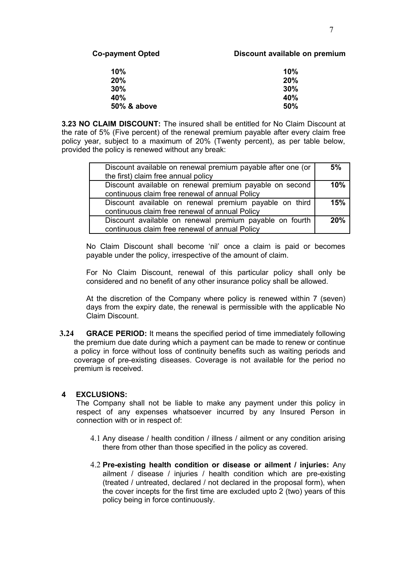#### **Co-payment Opted Discount available on premium**

| 10%         | 10% |
|-------------|-----|
| 20%         | 20% |
| 30%         | 30% |
| 40%         | 40% |
| 50% & above | 50% |

**3.23 NO CLAIM DISCOUNT:** The insured shall be entitled for No Claim Discount at the rate of 5% (Five percent) of the renewal premium payable after every claim free policy year, subject to a maximum of 20% (Twenty percent), as per table below, provided the policy is renewed without any break:

| Discount available on renewal premium payable after one (or<br>the first) claim free annual policy | 5%  |
|----------------------------------------------------------------------------------------------------|-----|
| Discount available on renewal premium payable on second                                            | 10% |
| continuous claim free renewal of annual Policy                                                     |     |
| Discount available on renewal premium payable on third                                             | 15% |
| continuous claim free renewal of annual Policy                                                     |     |
| Discount available on renewal premium payable on fourth                                            | 20% |
| continuous claim free renewal of annual Policy                                                     |     |

No Claim Discount shall become 'nil' once a claim is paid or becomes payable under the policy, irrespective of the amount of claim.

For No Claim Discount, renewal of this particular policy shall only be considered and no benefit of any other insurance policy shall be allowed.

At the discretion of the Company where policy is renewed within 7 (seven) days from the expiry date, the renewal is permissible with the applicable No Claim Discount.

**3.24 GRACE PERIOD:** It means the specified period of time immediately following the premium due date during which a payment can be made to renew or continue a policy in force without loss of continuity benefits such as waiting periods and coverage of pre-existing diseases. Coverage is not available for the period no premium is received.

#### **4 EXCLUSIONS:**

The Company shall not be liable to make any payment under this policy in respect of any expenses whatsoever incurred by any Insured Person in connection with or in respect of:

- 4.1 Any disease / health condition / illness / ailment or any condition arising there from other than those specified in the policy as covered.
- 4.2 **Pre-existing health condition or disease or ailment / injuries:** Any ailment / disease / injuries / health condition which are pre-existing (treated / untreated, declared / not declared in the proposal form), when the cover incepts for the first time are excluded upto 2 (two) years of this policy being in force continuously.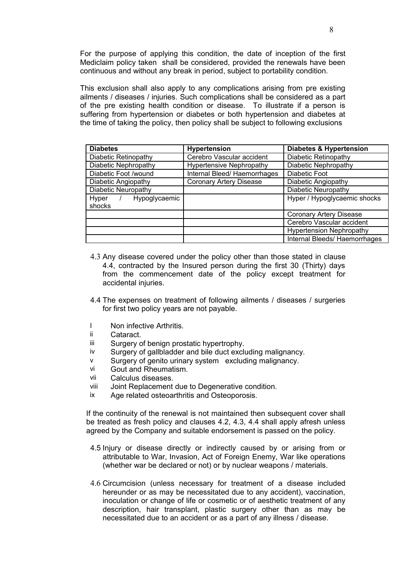For the purpose of applying this condition, the date of inception of the first Mediclaim policy taken shall be considered, provided the renewals have been continuous and without any break in period, subject to portability condition.

This exclusion shall also apply to any complications arising from pre existing ailments / diseases / injuries. Such complications shall be considered as a part of the pre existing health condition or disease. To illustrate if a person is suffering from hypertension or diabetes or both hypertension and diabetes at the time of taking the policy, then policy shall be subject to following exclusions

| <b>Diabetes</b>        | <b>Hypertension</b>             | <b>Diabetes &amp; Hypertension</b> |  |
|------------------------|---------------------------------|------------------------------------|--|
| Diabetic Retinopathy   | Cerebro Vascular accident       | Diabetic Retinopathy               |  |
| Diabetic Nephropathy   | <b>Hypertensive Nephropathy</b> | Diabetic Nephropathy               |  |
| Diabetic Foot /wound   | Internal Bleed/Haemorrhages     | <b>Diabetic Foot</b>               |  |
| Diabetic Angiopathy    | <b>Coronary Artery Disease</b>  | Diabetic Angiopathy                |  |
| Diabetic Neuropathy    |                                 | Diabetic Neuropathy                |  |
| Hyper<br>Hypoglycaemic |                                 | Hyper / Hypoglycaemic shocks       |  |
| shocks                 |                                 |                                    |  |
|                        |                                 | <b>Coronary Artery Disease</b>     |  |
|                        |                                 | Cerebro Vascular accident          |  |
|                        |                                 | <b>Hypertension Nephropathy</b>    |  |
|                        |                                 | Internal Bleeds/ Haemorrhages      |  |

- 4.3 Any disease covered under the policy other than those stated in clause 4.4, contracted by the Insured person during the first 30 (Thirty) days from the commencement date of the policy except treatment for accidental injuries.
- 4.4 The expenses on treatment of following ailments / diseases / surgeries for first two policy years are not payable.
- I Non infective Arthritis.
- ii Cataract.
- iii Surgery of benign prostatic hypertrophy.
- iv Surgery of gallbladder and bile duct excluding malignancy.
- v Surgery of genito urinary system excluding malignancy.
- vi Gout and Rheumatism.
- vii Calculus diseases.
- viii Joint Replacement due to Degenerative condition.
- ix Age related osteoarthritis and Osteoporosis.

If the continuity of the renewal is not maintained then subsequent cover shall be treated as fresh policy and clauses 4.2, 4.3, 4.4 shall apply afresh unless agreed by the Company and suitable endorsement is passed on the policy.

- 4.5 Injury or disease directly or indirectly caused by or arising from or attributable to War, Invasion, Act of Foreign Enemy, War like operations (whether war be declared or not) or by nuclear weapons / materials.
- 4.6 Circumcision (unless necessary for treatment of a disease included hereunder or as may be necessitated due to any accident), vaccination, inoculation or change of life or cosmetic or of aesthetic treatment of any description, hair transplant, plastic surgery other than as may be necessitated due to an accident or as a part of any illness / disease.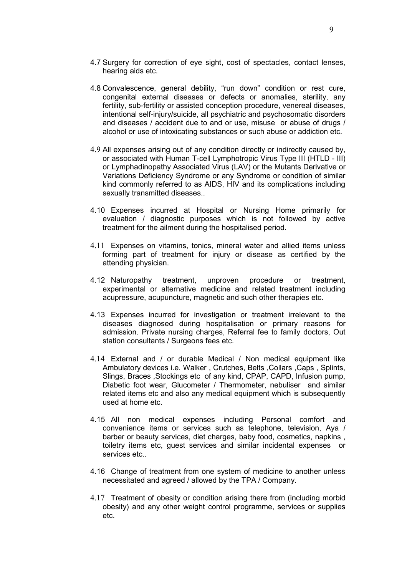- 4.7 Surgery for correction of eye sight, cost of spectacles, contact lenses, hearing aids etc.
- 4.8 Convalescence, general debility, "run down" condition or rest cure, congenital external diseases or defects or anomalies, sterility, any fertility, sub-fertility or assisted conception procedure, venereal diseases, intentional self-injury/suicide, all psychiatric and psychosomatic disorders and diseases / accident due to and or use, misuse or abuse of drugs / alcohol or use of intoxicating substances or such abuse or addiction etc.
- 4.9 All expenses arising out of any condition directly or indirectly caused by, or associated with Human T-cell Lymphotropic Virus Type III (HTLD - III) or Lymphadinopathy Associated Virus (LAV) or the Mutants Derivative or Variations Deficiency Syndrome or any Syndrome or condition of similar kind commonly referred to as AIDS, HIV and its complications including sexually transmitted diseases..
- 4.10 Expenses incurred at Hospital or Nursing Home primarily for evaluation / diagnostic purposes which is not followed by active treatment for the ailment during the hospitalised period.
- 4.11 Expenses on vitamins, tonics, mineral water and allied items unless forming part of treatment for injury or disease as certified by the attending physician.
- 4.12 Naturopathy treatment, unproven procedure or treatment, experimental or alternative medicine and related treatment including acupressure, acupuncture, magnetic and such other therapies etc.
- 4.13 Expenses incurred for investigation or treatment irrelevant to the diseases diagnosed during hospitalisation or primary reasons for admission. Private nursing charges, Referral fee to family doctors, Out station consultants / Surgeons fees etc.
- 4.14 External and / or durable Medical / Non medical equipment like Ambulatory devices i.e. Walker , Crutches, Belts ,Collars ,Caps , Splints, Slings, Braces ,Stockings etc of any kind, CPAP, CAPD, Infusion pump, Diabetic foot wear, Glucometer / Thermometer, nebuliser and similar related items etc and also any medical equipment which is subsequently used at home etc.
- 4.15 All non medical expenses including Personal comfort and convenience items or services such as telephone, television, Aya / barber or beauty services, diet charges, baby food, cosmetics, napkins , toiletry items etc, guest services and similar incidental expenses or services etc..
- 4.16 Change of treatment from one system of medicine to another unless necessitated and agreed / allowed by the TPA / Company.
- 4.17 Treatment of obesity or condition arising there from (including morbid obesity) and any other weight control programme, services or supplies etc.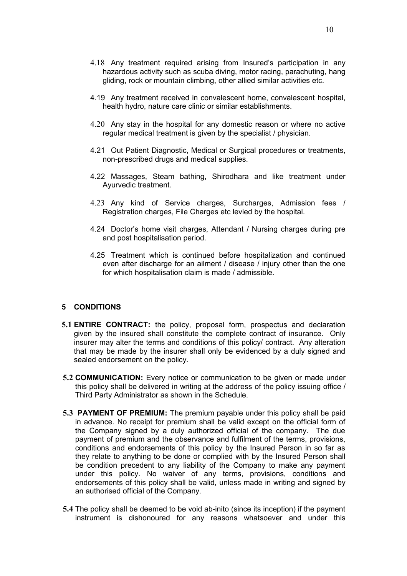- 4.18 Any treatment required arising from Insured's participation in any hazardous activity such as scuba diving, motor racing, parachuting, hang gliding, rock or mountain climbing, other allied similar activities etc.
- 4.19 Any treatment received in convalescent home, convalescent hospital, health hydro, nature care clinic or similar establishments.
- 4.20 Any stay in the hospital for any domestic reason or where no active regular medical treatment is given by the specialist / physician.
- 4.21 Out Patient Diagnostic, Medical or Surgical procedures or treatments, non-prescribed drugs and medical supplies.
- 4.22 Massages, Steam bathing, Shirodhara and like treatment under Ayurvedic treatment.
- 4.23 Any kind of Service charges, Surcharges, Admission fees / Registration charges, File Charges etc levied by the hospital.
- 4.24 Doctor's home visit charges, Attendant / Nursing charges during pre and post hospitalisation period.
- 4.25 Treatment which is continued before hospitalization and continued even after discharge for an ailment / disease / injury other than the one for which hospitalisation claim is made / admissible.

#### **5 CONDITIONS**

- **5.1 ENTIRE CONTRACT:** the policy, proposal form, prospectus and declaration given by the insured shall constitute the complete contract of insurance. Only insurer may alter the terms and conditions of this policy/ contract. Any alteration that may be made by the insurer shall only be evidenced by a duly signed and sealed endorsement on the policy.
- **5.2 COMMUNICATION:** Every notice or communication to be given or made under this policy shall be delivered in writing at the address of the policy issuing office / Third Party Administrator as shown in the Schedule.
- **5.3 PAYMENT OF PREMIUM:** The premium payable under this policy shall be paid in advance. No receipt for premium shall be valid except on the official form of the Company signed by a duly authorized official of the company. The due payment of premium and the observance and fulfilment of the terms, provisions, conditions and endorsements of this policy by the Insured Person in so far as they relate to anything to be done or complied with by the Insured Person shall be condition precedent to any liability of the Company to make any payment under this policy. No waiver of any terms, provisions, conditions and endorsements of this policy shall be valid, unless made in writing and signed by an authorised official of the Company.
- **5.4** The policy shall be deemed to be void ab-inito (since its inception) if the payment instrument is dishonoured for any reasons whatsoever and under this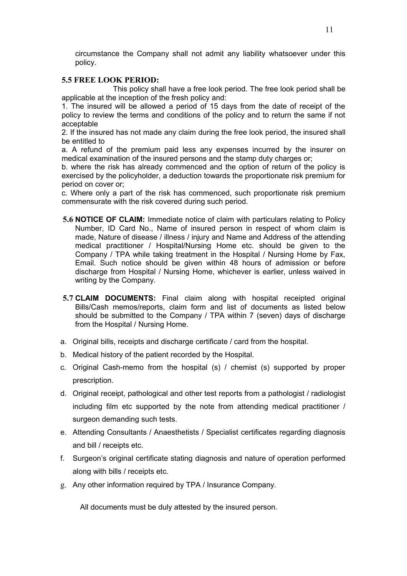circumstance the Company shall not admit any liability whatsoever under this policy.

#### **5.5 FREE LOOK PERIOD:**

 This policy shall have a free look period. The free look period shall be applicable at the inception of the fresh policy and:

1. The insured will be allowed a period of 15 days from the date of receipt of the policy to review the terms and conditions of the policy and to return the same if not acceptable

2. If the insured has not made any claim during the free look period, the insured shall be entitled to

a. A refund of the premium paid less any expenses incurred by the insurer on medical examination of the insured persons and the stamp duty charges or;

b. where the risk has already commenced and the option of return of the policy is exercised by the policyholder, a deduction towards the proportionate risk premium for period on cover or;

c. Where only a part of the risk has commenced, such proportionate risk premium commensurate with the risk covered during such period.

- **5.6 NOTICE OF CLAIM:** Immediate notice of claim with particulars relating to Policy Number, ID Card No., Name of insured person in respect of whom claim is made, Nature of disease / illness / injury and Name and Address of the attending medical practitioner / Hospital/Nursing Home etc. should be given to the Company / TPA while taking treatment in the Hospital / Nursing Home by Fax, Email. Such notice should be given within 48 hours of admission or before discharge from Hospital / Nursing Home, whichever is earlier, unless waived in writing by the Company.
- **5.7 CLAIM DOCUMENTS:** Final claim along with hospital receipted original Bills/Cash memos/reports, claim form and list of documents as listed below should be submitted to the Company / TPA within 7 (seven) days of discharge from the Hospital / Nursing Home.
- a. Original bills, receipts and discharge certificate / card from the hospital.
- b. Medical history of the patient recorded by the Hospital.
- c. Original Cash-memo from the hospital (s) / chemist (s) supported by proper prescription.
- d. Original receipt, pathological and other test reports from a pathologist / radiologist including film etc supported by the note from attending medical practitioner / surgeon demanding such tests.
- e. Attending Consultants / Anaesthetists / Specialist certificates regarding diagnosis and bill / receipts etc.
- f. Surgeon's original certificate stating diagnosis and nature of operation performed along with bills / receipts etc.
- g. Any other information required by TPA / Insurance Company.

All documents must be duly attested by the insured person.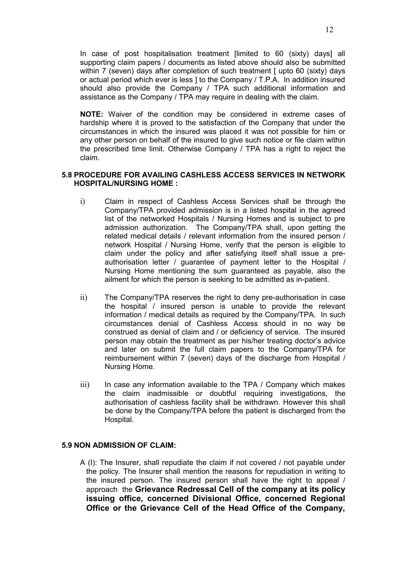In case of post hospitalisation treatment [limited to 60 (sixty) days] all supporting claim papers / documents as listed above should also be submitted within 7 (seven) days after completion of such treatment [ upto 60 (sixty) days or actual period which ever is less ] to the Company / T.P.A. In addition insured should also provide the Company / TPA such additional information and assistance as the Company / TPA may require in dealing with the claim.

**NOTE:** Waiver of the condition may be considered in extreme cases of hardship where it is proved to the satisfaction of the Company that under the circumstances in which the insured was placed it was not possible for him or any other person on behalf of the insured to give such notice or file claim within the prescribed time limit. Otherwise Company / TPA has a right to reject the claim.

#### **5.8 PROCEDURE FOR AVAILING CASHLESS ACCESS SERVICES IN NETWORK HOSPITAL/NURSING HOME :**

- i) Claim in respect of Cashless Access Services shall be through the Company/TPA provided admission is in a listed hospital in the agreed list of the networked Hospitals / Nursing Homes and is subject to pre admission authorization. The Company/TPA shall, upon getting the related medical details / relevant information from the insured person / network Hospital / Nursing Home, verify that the person is eligible to claim under the policy and after satisfying itself shall issue a preauthorisation letter / guarantee of payment letter to the Hospital / Nursing Home mentioning the sum guaranteed as payable, also the ailment for which the person is seeking to be admitted as in-patient.
- ii) The Company/TPA reserves the right to deny pre-authorisation in case the hospital / insured person is unable to provide the relevant information / medical details as required by the Company/TPA. In such circumstances denial of Cashless Access should in no way be construed as denial of claim and / or deficiency of service. The insured person may obtain the treatment as per his/her treating doctor's advice and later on submit the full claim papers to the Company/TPA for reimbursement within 7 (seven) days of the discharge from Hospital / Nursing Home.
- $\overline{iii}$  In case any information available to the TPA / Company which makes the claim inadmissible or doubtful requiring investigations, the authorisation of cashless facility shall be withdrawn. However this shall be done by the Company/TPA before the patient is discharged from the Hospital.

#### **5.9 NON ADMISSION OF CLAIM:**

A (I): The Insurer, shall repudiate the claim if not covered / not payable under the policy. The Insurer shall mention the reasons for repudiation in writing to the insured person. The insured person shall have the right to appeal / approach the **Grievance Redressal Cell of the company at its policy issuing office, concerned Divisional Office, concerned Regional Office or the Grievance Cell of the Head Office of the Company,**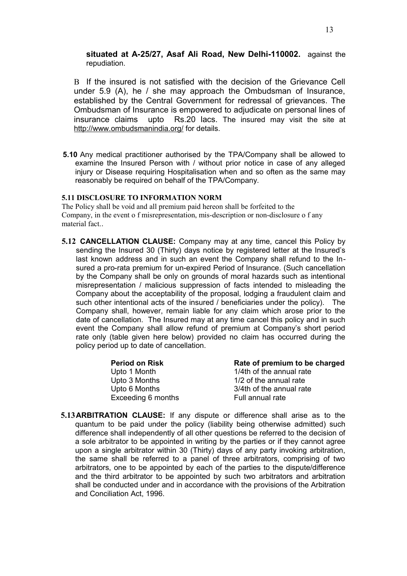**situated at A-25/27, Asaf Ali Road, New Delhi-110002.** against the repudiation.

B If the insured is not satisfied with the decision of the Grievance Cell under 5.9 (A), he / she may approach the Ombudsman of Insurance, established by the Central Government for redressal of grievances. The Ombudsman of Insurance is empowered to adjudicate on personal lines of insurance claims upto Rs.20 lacs. The insured may visit the site at <http://www.ombudsmanindia.org/>for details.

**5.10** Any medical practitioner authorised by the TPA/Company shall be allowed to examine the Insured Person with / without prior notice in case of any alleged injury or Disease requiring Hospitalisation when and so often as the same may reasonably be required on behalf of the TPA/Company.

#### **5.11 DISCLOSURE TO INFORMATION NORM**

The Policy shall be void and all premium paid hereon shall be forfeited to the Company, in the event o f misrepresentation, mis-description or non-disclosure o f any material fact..

**5.12 CANCELLATION CLAUSE:** Company may at any time, cancel this Policy by sending the Insured 30 (Thirty) days notice by registered letter at the Insured's last known address and in such an event the Company shall refund to the Insured a pro-rata premium for un-expired Period of Insurance. (Such cancellation by the Company shall be only on grounds of moral hazards such as intentional misrepresentation / malicious suppression of facts intended to misleading the Company about the acceptability of the proposal, lodging a fraudulent claim and such other intentional acts of the insured / beneficiaries under the policy). The Company shall, however, remain liable for any claim which arose prior to the date of cancellation. The Insured may at any time cancel this policy and in such event the Company shall allow refund of premium at Company's short period rate only (table given here below) provided no claim has occurred during the policy period up to date of cancellation.

| Rate of premium to be charged |
|-------------------------------|
| 1/4th of the annual rate      |
| 1/2 of the annual rate        |
| 3/4th of the annual rate      |
| Full annual rate              |
|                               |

**5.13ARBITRATION CLAUSE:** If any dispute or difference shall arise as to the quantum to be paid under the policy (liability being otherwise admitted) such difference shall independently of all other questions be referred to the decision of a sole arbitrator to be appointed in writing by the parties or if they cannot agree upon a single arbitrator within 30 (Thirty) days of any party invoking arbitration, the same shall be referred to a panel of three arbitrators, comprising of two arbitrators, one to be appointed by each of the parties to the dispute/difference and the third arbitrator to be appointed by such two arbitrators and arbitration shall be conducted under and in accordance with the provisions of the Arbitration and Conciliation Act, 1996.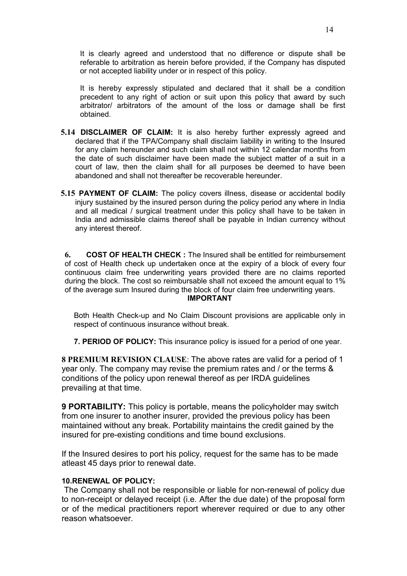It is clearly agreed and understood that no difference or dispute shall be referable to arbitration as herein before provided, if the Company has disputed or not accepted liability under or in respect of this policy.

It is hereby expressly stipulated and declared that it shall be a condition precedent to any right of action or suit upon this policy that award by such arbitrator/ arbitrators of the amount of the loss or damage shall be first obtained.

- **5.14 DISCLAIMER OF CLAIM:** It is also hereby further expressly agreed and declared that if the TPA/Company shall disclaim liability in writing to the Insured for any claim hereunder and such claim shall not within 12 calendar months from the date of such disclaimer have been made the subject matter of a suit in a court of law, then the claim shall for all purposes be deemed to have been abandoned and shall not thereafter be recoverable hereunder.
- **5.15 PAYMENT OF CLAIM:** The policy covers illness, disease or accidental bodily injury sustained by the insured person during the policy period any where in India and all medical / surgical treatment under this policy shall have to be taken in India and admissible claims thereof shall be payable in Indian currency without any interest thereof.

**6. COST OF HEALTH CHECK :** The Insured shall be entitled for reimbursement of cost of Health check up undertaken once at the expiry of a block of every four continuous claim free underwriting years provided there are no claims reported during the block. The cost so reimbursable shall not exceed the amount equal to 1% of the average sum Insured during the block of four claim free underwriting years. **IMPORTANT**

Both Health Check-up and No Claim Discount provisions are applicable only in respect of continuous insurance without break.

**7. PERIOD OF POLICY:** This insurance policy is issued for a period of one year.

**8 PREMIUM REVISION CLAUSE**: The above rates are valid for a period of 1 year only. The company may revise the premium rates and / or the terms & conditions of the policy upon renewal thereof as per IRDA guidelines prevailing at that time.

**9 PORTABILITY:** This policy is portable, means the policyholder may switch from one insurer to another insurer, provided the previous policy has been maintained without any break. Portability maintains the credit gained by the insured for pre-existing conditions and time bound exclusions.

If the Insured desires to port his policy, request for the same has to be made atleast 45 days prior to renewal date.

#### **10.RENEWAL OF POLICY:**

 The Company shall not be responsible or liable for non-renewal of policy due to non-receipt or delayed receipt (i.e. After the due date) of the proposal form or of the medical practitioners report wherever required or due to any other reason whatsoever.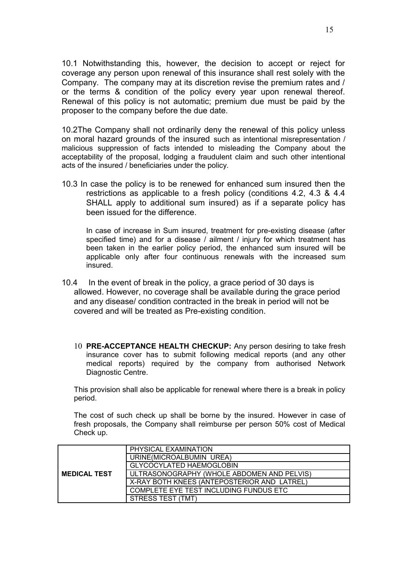10.1 Notwithstanding this, however, the decision to accept or reject for coverage any person upon renewal of this insurance shall rest solely with the Company. The company may at its discretion revise the premium rates and / or the terms & condition of the policy every year upon renewal thereof. Renewal of this policy is not automatic; premium due must be paid by the proposer to the company before the due date.

10.2The Company shall not ordinarily deny the renewal of this policy unless on moral hazard grounds of the insured such as intentional misrepresentation / malicious suppression of facts intended to misleading the Company about the acceptability of the proposal, lodging a fraudulent claim and such other intentional acts of the insured / beneficiaries under the policy.

10.3 In case the policy is to be renewed for enhanced sum insured then the restrictions as applicable to a fresh policy (conditions 4.2, 4.3 & 4.4 SHALL apply to additional sum insured) as if a separate policy has been issued for the difference.

In case of increase in Sum insured, treatment for pre-existing disease (after specified time) and for a disease / ailment / injury for which treatment has been taken in the earlier policy period, the enhanced sum insured will be applicable only after four continuous renewals with the increased sum insured.

- 10.4 In the event of break in the policy, a grace period of 30 days is allowed. However, no coverage shall be available during the grace period and any disease/ condition contracted in the break in period will not be covered and will be treated as Pre-existing condition.
	- 10 **PRE-ACCEPTANCE HEALTH CHECKUP:** Any person desiring to take fresh insurance cover has to submit following medical reports (and any other medical reports) required by the company from authorised Network Diagnostic Centre.

This provision shall also be applicable for renewal where there is a break in policy period.

The cost of such check up shall be borne by the insured. However in case of fresh proposals, the Company shall reimburse per person 50% cost of Medical Check up.

|                     | PHYSICAL EXAMINATION                        |  |  |
|---------------------|---------------------------------------------|--|--|
|                     | URINE(MICROALBUMIN UREA)                    |  |  |
|                     | <b>GLYCOCYLATED HAEMOGLOBIN</b>             |  |  |
| <b>MEDICAL TEST</b> | ULTRASONOGRAPHY (WHOLE ABDOMEN AND PELVIS)  |  |  |
|                     | X-RAY BOTH KNEES (ANTEPOSTERIOR AND LATREL) |  |  |
|                     | COMPLETE EYE TEST INCLUDING FUNDUS ETC      |  |  |
|                     | STRESS TEST (TMT)                           |  |  |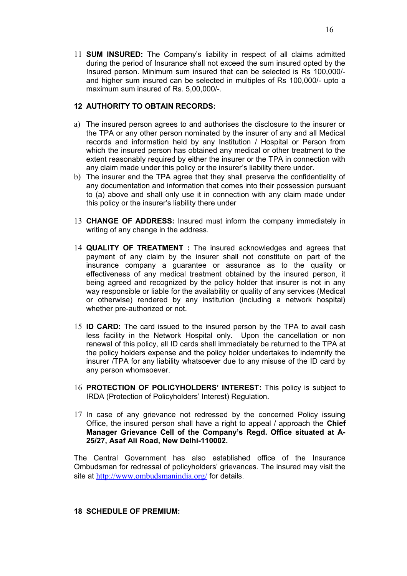11 **SUM INSURED:** The Company's liability in respect of all claims admitted during the period of Insurance shall not exceed the sum insured opted by the Insured person. Minimum sum insured that can be selected is Rs 100,000/ and higher sum insured can be selected in multiples of Rs 100,000/- upto a maximum sum insured of Rs. 5,00,000/-.

#### **12 AUTHORITY TO OBTAIN RECORDS:**

- a) The insured person agrees to and authorises the disclosure to the insurer or the TPA or any other person nominated by the insurer of any and all Medical records and information held by any Institution / Hospital or Person from which the insured person has obtained any medical or other treatment to the extent reasonably required by either the insurer or the TPA in connection with any claim made under this policy or the insurer's liability there under.
- b) The insurer and the TPA agree that they shall preserve the confidentiality of any documentation and information that comes into their possession pursuant to (a) above and shall only use it in connection with any claim made under this policy or the insurer's liability there under
- 13 **CHANGE OF ADDRESS:** Insured must inform the company immediately in writing of any change in the address.
- 14 **QUALITY OF TREATMENT :** The insured acknowledges and agrees that payment of any claim by the insurer shall not constitute on part of the insurance company a guarantee or assurance as to the quality or effectiveness of any medical treatment obtained by the insured person, it being agreed and recognized by the policy holder that insurer is not in any way responsible or liable for the availability or quality of any services (Medical or otherwise) rendered by any institution (including a network hospital) whether pre-authorized or not.
- 15 **ID CARD:** The card issued to the insured person by the TPA to avail cash less facility in the Network Hospital only. Upon the cancellation or non renewal of this policy, all ID cards shall immediately be returned to the TPA at the policy holders expense and the policy holder undertakes to indemnify the insurer /TPA for any liability whatsoever due to any misuse of the ID card by any person whomsoever.
- 16 **PROTECTION OF POLICYHOLDERS' INTEREST:** This policy is subject to IRDA (Protection of Policyholders' Interest) Regulation.
- 17 In case of any grievance not redressed by the concerned Policy issuing Office, the insured person shall have a right to appeal / approach the **Chief Manager Grievance Cell of the Company's Regd. Office situated at A-25/27, Asaf Ali Road, New Delhi-110002.**

The Central Government has also established office of the Insurance Ombudsman for redressal of policyholders' grievances. The insured may visit the site at <http://www.ombudsmanindia.org/> for details.

#### **18 SCHEDULE OF PREMIUM:**